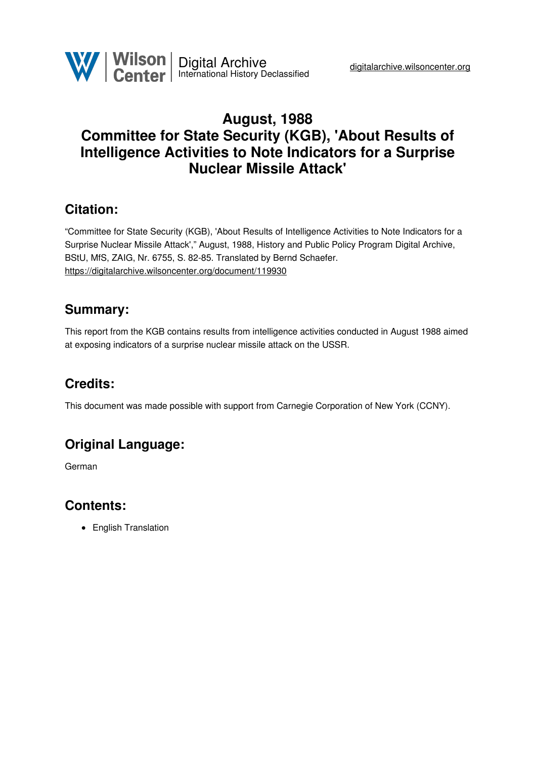

# **August, 1988 Committee for State Security (KGB), 'About Results of Intelligence Activities to Note Indicators for a Surprise Nuclear Missile Attack'**

# **Citation:**

"Committee for State Security (KGB), 'About Results of Intelligence Activities to Note Indicators for a Surprise Nuclear Missile Attack'," August, 1988, History and Public Policy Program Digital Archive, BStU, MfS, ZAIG, Nr. 6755, S. 82-85. Translated by Bernd Schaefer. <https://digitalarchive.wilsoncenter.org/document/119930>

# **Summary:**

This report from the KGB contains results from intelligence activities conducted in August 1988 aimed at exposing indicators of a surprise nuclear missile attack on the USSR.

# **Credits:**

This document was made possible with support from Carnegie Corporation of New York (CCNY).

# **Original Language:**

German

### **Contents:**

• English Translation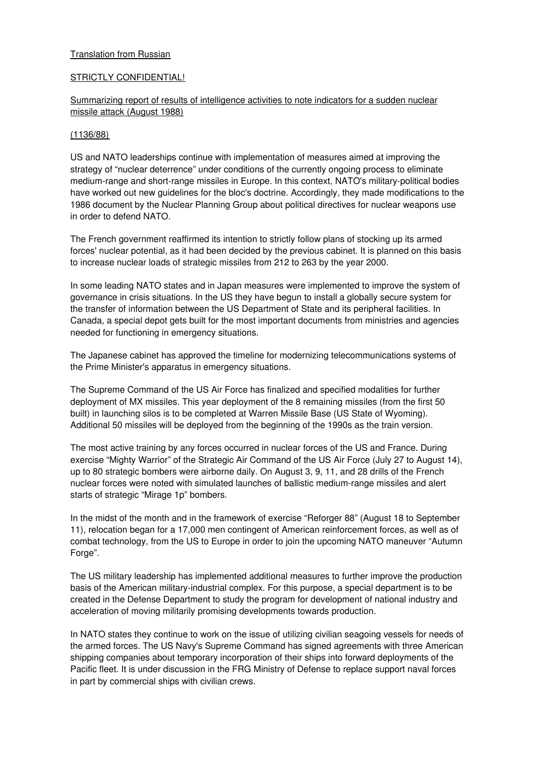### **Translation from Russian**

### STRICTLY CONFIDENTIAL!

### Summarizing report of results of intelligence activities to note indicators for a sudden nuclear missile attack (August 1988)

#### (1136/88)

US and NATO leaderships continue with implementation of measures aimed at improving the strategy of "nuclear deterrence" under conditions of the currently ongoing process to eliminate medium-range and short-range missiles in Europe. In this context, NATO's military-political bodies have worked out new guidelines for the bloc's doctrine. Accordingly, they made modifications to the 1986 document by the Nuclear Planning Group about political directives for nuclear weapons use in order to defend NATO.

The French government reaffirmed its intention to strictly follow plans of stocking up its armed forces' nuclear potential, as it had been decided by the previous cabinet. It is planned on this basis to increase nuclear loads of strategic missiles from 212 to 263 by the year 2000.

In some leading NATO states and in Japan measures were implemented to improve the system of governance in crisis situations. In the US they have begun to install a globally secure system for the transfer of information between the US Department of State and its peripheral facilities. In Canada, a special depot gets built for the most important documents from ministries and agencies needed for functioning in emergency situations.

The Japanese cabinet has approved the timeline for modernizing telecommunications systems of the Prime Minister's apparatus in emergency situations.

The Supreme Command of the US Air Force has finalized and specified modalities for further deployment of MX missiles. This year deployment of the 8 remaining missiles (from the first 50 built) in launching silos is to be completed at Warren Missile Base (US State of Wyoming). Additional 50 missiles will be deployed from the beginning of the 1990s as the train version.

The most active training by any forces occurred in nuclear forces of the US and France. During exercise "Mighty Warrior" of the Strategic Air Command of the US Air Force (July 27 to August 14), up to 80 strategic bombers were airborne daily. On August 3, 9, 11, and 28 drills of the French nuclear forces were noted with simulated launches of ballistic medium-range missiles and alert starts of strategic "Mirage 1p" bombers.

In the midst of the month and in the framework of exercise "Reforger 88" (August 18 to September 11), relocation began for a 17,000 men contingent of American reinforcement forces, as well as of combat technology, from the US to Europe in order to join the upcoming NATO maneuver "Autumn Forge".

The US military leadership has implemented additional measures to further improve the production basis of the American military-industrial complex. For this purpose, a special department is to be created in the Defense Department to study the program for development of national industry and acceleration of moving militarily promising developments towards production.

In NATO states they continue to work on the issue of utilizing civilian seagoing vessels for needs of the armed forces. The US Navy's Supreme Command has signed agreements with three American shipping companies about temporary incorporation of their ships into forward deployments of the Pacific fleet. It is under discussion in the FRG Ministry of Defense to replace support naval forces in part by commercial ships with civilian crews.